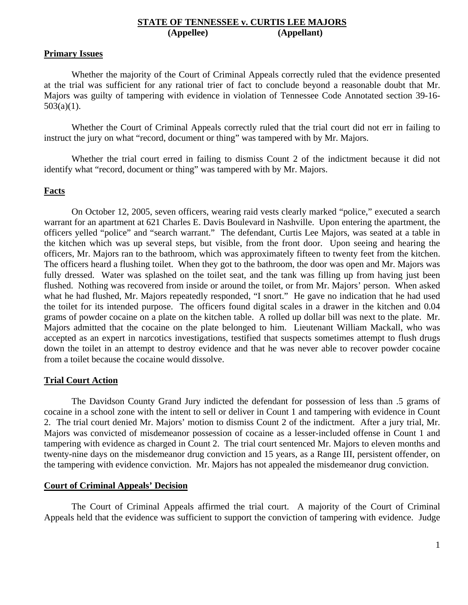## **STATE OF TENNESSEE v. CURTIS LEE MAJORS (Appellee) (Appellant)**

### **Primary Issues**

 Whether the majority of the Court of Criminal Appeals correctly ruled that the evidence presented at the trial was sufficient for any rational trier of fact to conclude beyond a reasonable doubt that Mr. Majors was guilty of tampering with evidence in violation of Tennessee Code Annotated section 39-16- 503(a)(1).

 Whether the Court of Criminal Appeals correctly ruled that the trial court did not err in failing to instruct the jury on what "record, document or thing" was tampered with by Mr. Majors.

 Whether the trial court erred in failing to dismiss Count 2 of the indictment because it did not identify what "record, document or thing" was tampered with by Mr. Majors.

# **Facts**

 On October 12, 2005, seven officers, wearing raid vests clearly marked "police," executed a search warrant for an apartment at 621 Charles E. Davis Boulevard in Nashville. Upon entering the apartment, the officers yelled "police" and "search warrant." The defendant, Curtis Lee Majors, was seated at a table in the kitchen which was up several steps, but visible, from the front door. Upon seeing and hearing the officers, Mr. Majors ran to the bathroom, which was approximately fifteen to twenty feet from the kitchen. The officers heard a flushing toilet. When they got to the bathroom, the door was open and Mr. Majors was fully dressed. Water was splashed on the toilet seat, and the tank was filling up from having just been flushed. Nothing was recovered from inside or around the toilet, or from Mr. Majors' person. When asked what he had flushed, Mr. Majors repeatedly responded, "I snort." He gave no indication that he had used the toilet for its intended purpose. The officers found digital scales in a drawer in the kitchen and 0.04 grams of powder cocaine on a plate on the kitchen table. A rolled up dollar bill was next to the plate. Mr. Majors admitted that the cocaine on the plate belonged to him. Lieutenant William Mackall, who was accepted as an expert in narcotics investigations, testified that suspects sometimes attempt to flush drugs down the toilet in an attempt to destroy evidence and that he was never able to recover powder cocaine from a toilet because the cocaine would dissolve.

## **Trial Court Action**

 The Davidson County Grand Jury indicted the defendant for possession of less than .5 grams of cocaine in a school zone with the intent to sell or deliver in Count 1 and tampering with evidence in Count 2. The trial court denied Mr. Majors' motion to dismiss Count 2 of the indictment. After a jury trial, Mr. Majors was convicted of misdemeanor possession of cocaine as a lesser-included offense in Count 1 and tampering with evidence as charged in Count 2. The trial court sentenced Mr. Majors to eleven months and twenty-nine days on the misdemeanor drug conviction and 15 years, as a Range III, persistent offender, on the tampering with evidence conviction. Mr. Majors has not appealed the misdemeanor drug conviction.

## **Court of Criminal Appeals' Decision**

 The Court of Criminal Appeals affirmed the trial court. A majority of the Court of Criminal Appeals held that the evidence was sufficient to support the conviction of tampering with evidence. Judge